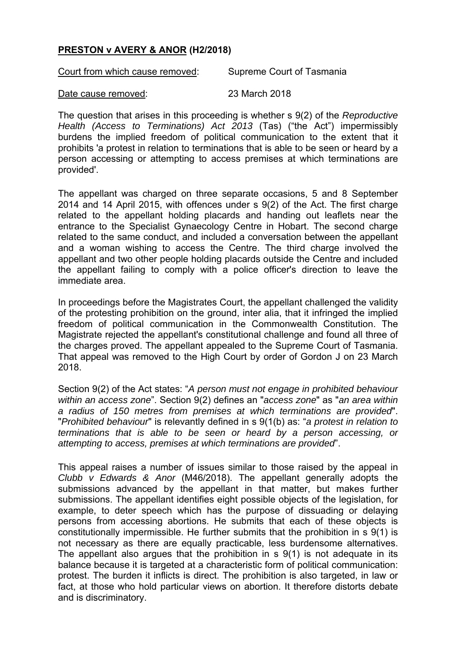## **PRESTON v AVERY & ANOR (H2/2018)**

Court from which cause removed: Supreme Court of Tasmania

Date cause removed: 23 March 2018

The question that arises in this proceeding is whether s 9(2) of the *Reproductive Health (Access to Terminations) Act 2013* (Tas) ("the Act") impermissibly burdens the implied freedom of political communication to the extent that it prohibits 'a protest in relation to terminations that is able to be seen or heard by a person accessing or attempting to access premises at which terminations are provided'.

The appellant was charged on three separate occasions, 5 and 8 September 2014 and 14 April 2015, with offences under s 9(2) of the Act. The first charge related to the appellant holding placards and handing out leaflets near the entrance to the Specialist Gynaecology Centre in Hobart. The second charge related to the same conduct, and included a conversation between the appellant and a woman wishing to access the Centre. The third charge involved the appellant and two other people holding placards outside the Centre and included the appellant failing to comply with a police officer's direction to leave the immediate area.

In proceedings before the Magistrates Court, the appellant challenged the validity of the protesting prohibition on the ground, inter alia, that it infringed the implied freedom of political communication in the Commonwealth Constitution. The Magistrate rejected the appellant's constitutional challenge and found all three of the charges proved. The appellant appealed to the Supreme Court of Tasmania. That appeal was removed to the High Court by order of Gordon J on 23 March 2018.

Section 9(2) of the Act states: "*A person must not engage in prohibited behaviour within an access zone*". Section 9(2) defines an "*access zone*" as "*an area within a radius of 150 metres from premises at which terminations are provided*". "*Prohibited behaviour*" is relevantly defined in s 9(1(b) as: "*a protest in relation to terminations that is able to be seen or heard by a person accessing, or attempting to access, premises at which terminations are provided*".

This appeal raises a number of issues similar to those raised by the appeal in *Clubb v Edwards & Anor* (M46/2018). The appellant generally adopts the submissions advanced by the appellant in that matter, but makes further submissions. The appellant identifies eight possible objects of the legislation, for example, to deter speech which has the purpose of dissuading or delaying persons from accessing abortions. He submits that each of these objects is constitutionally impermissible. He further submits that the prohibition in s 9(1) is not necessary as there are equally practicable, less burdensome alternatives. The appellant also argues that the prohibition in s 9(1) is not adequate in its balance because it is targeted at a characteristic form of political communication: protest. The burden it inflicts is direct. The prohibition is also targeted, in law or fact, at those who hold particular views on abortion. It therefore distorts debate and is discriminatory.